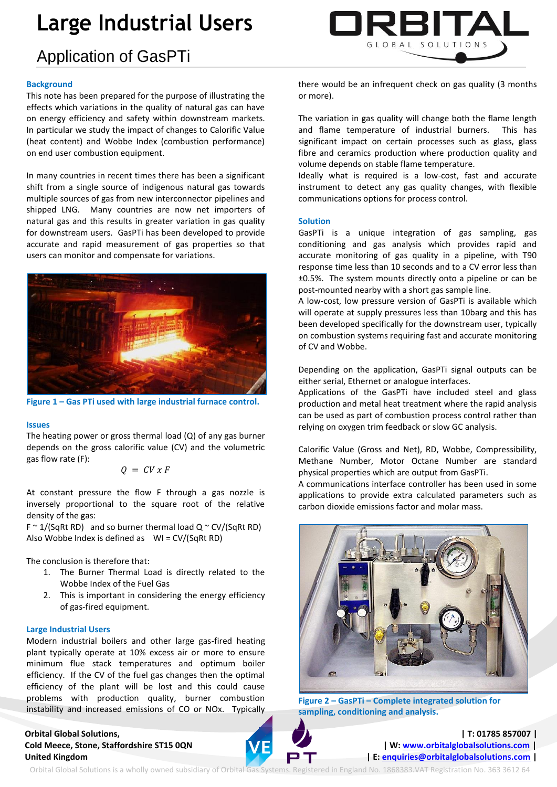# **Large Industrial Users**

# Application of GasPTi

### **Background**

This note has been prepared for the purpose of illustrating the effects which variations in the quality of natural gas can have on energy efficiency and safety within downstream markets. In particular we study the impact of changes to Calorific Value (heat content) and Wobbe Index (combustion performance) on end user combustion equipment.

In many countries in recent times there has been a significant shift from a single source of indigenous natural gas towards multiple sources of gas from new interconnector pipelines and shipped LNG. Many countries are now net importers of natural gas and this results in greater variation in gas quality for downstream users. GasPTi has been developed to provide accurate and rapid measurement of gas properties so that users can monitor and compensate for variations.



**Figure 1 – Gas PTi used with large industrial furnace control.**

### **Issues**

The heating power or gross thermal load (Q) of any gas burner depends on the gross calorific value (CV) and the volumetric gas flow rate (F):

$$
Q = CV x F
$$

At constant pressure the flow F through a gas nozzle is inversely proportional to the square root of the relative density of the gas:

 $F \sim 1/(SqRt RD)$  and so burner thermal load Q  $\sim$  CV/(SqRt RD) Also Wobbe Index is defined as WI = CV/(SqRt RD)

The conclusion is therefore that:

- 1. The Burner Thermal Load is directly related to the Wobbe Index of the Fuel Gas
- 2. This is important in considering the energy efficiency of gas-fired equipment.

#### **Large Industrial Users**

Modern industrial boilers and other large gas-fired heating plant typically operate at 10% excess air or more to ensure minimum flue stack temperatures and optimum boiler efficiency. If the CV of the fuel gas changes then the optimal efficiency of the plant will be lost and this could cause problems with production quality, burner combustion instability and increased emissions of CO or NOx. Typically

## **Orbital Global Solutions, | T: 01785 857007 | Cold Meece, Stone, Staffordshire ST15 0QN | W[: www.orbitalglobalsolutions.com](http://www.orbitalglobalsolutions.com/) |** United Kingdom *E* **E**[: enquiries@orbitalglobalsolutions.com](mailto:enquiries@orbitalglobalsolutions.com) **|**



there would be an infrequent check on gas quality (3 months or more).

The variation in gas quality will change both the flame length and flame temperature of industrial burners. This has significant impact on certain processes such as glass, glass fibre and ceramics production where production quality and volume depends on stable flame temperature.

Ideally what is required is a low-cost, fast and accurate instrument to detect any gas quality changes, with flexible communications options for process control.

#### **Solution**

GasPTi is a unique integration of gas sampling, gas conditioning and gas analysis which provides rapid and accurate monitoring of gas quality in a pipeline, with T90 response time less than 10 seconds and to a CV error less than ±0.5%. The system mounts directly onto a pipeline or can be post-mounted nearby with a short gas sample line.

A low-cost, low pressure version of GasPTi is available which will operate at supply pressures less than 10barg and this has been developed specifically for the downstream user, typically on combustion systems requiring fast and accurate monitoring of CV and Wobbe.

Depending on the application, GasPTi signal outputs can be either serial, Ethernet or analogue interfaces.

Applications of the GasPTi have included steel and glass production and metal heat treatment where the rapid analysis can be used as part of combustion process control rather than relying on oxygen trim feedback or slow GC analysis.

Calorific Value (Gross and Net), RD, Wobbe, Compressibility, Methane Number, Motor Octane Number are standard physical properties which are output from GasPTi.

A communications interface controller has been used in some applications to provide extra calculated parameters such as carbon dioxide emissions factor and molar mass.



**Figure 2 – GasPTi – Complete integrated solution for sampling, conditioning and analysis.**

Orbital Global Solutions is a wholly owned subsidiary of Orbital Gas Systems. Registered in England No. 1868383.VAT Registration No. 363 3612 64